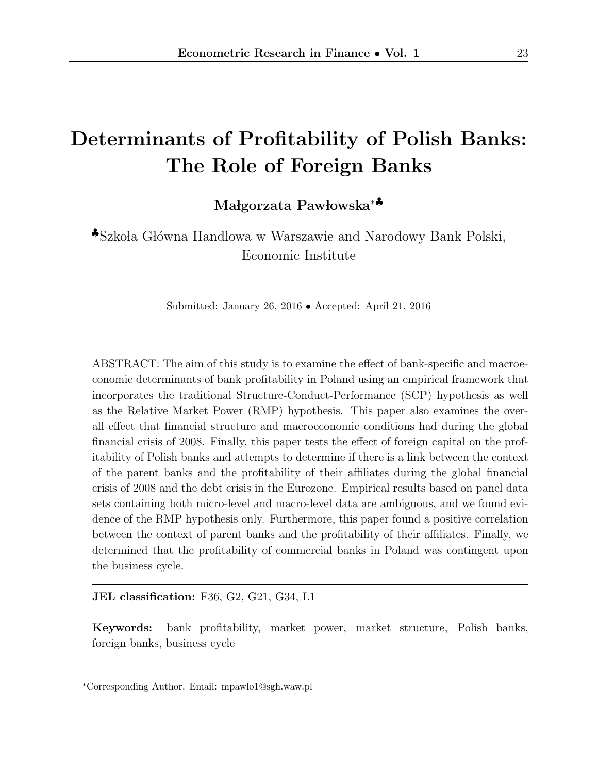# Determinants of Profitability of Polish Banks: The Role of Foreign Banks

Małgorzata Pawłowska<sup>∗</sup>

 $\clubsuit$ Szkoła Główna Handlowa w Warszawie and Narodowy Bank Polski, Economic Institute

Submitted: January 26, 2016 • Accepted: April 21, 2016

ABSTRACT: The aim of this study is to examine the effect of bank-specific and macroeconomic determinants of bank profitability in Poland using an empirical framework that incorporates the traditional Structure-Conduct-Performance (SCP) hypothesis as well as the Relative Market Power (RMP) hypothesis. This paper also examines the overall effect that financial structure and macroeconomic conditions had during the global financial crisis of 2008. Finally, this paper tests the effect of foreign capital on the profitability of Polish banks and attempts to determine if there is a link between the context of the parent banks and the profitability of their affiliates during the global financial crisis of 2008 and the debt crisis in the Eurozone. Empirical results based on panel data sets containing both micro-level and macro-level data are ambiguous, and we found evidence of the RMP hypothesis only. Furthermore, this paper found a positive correlation between the context of parent banks and the profitability of their affiliates. Finally, we determined that the profitability of commercial banks in Poland was contingent upon the business cycle.

#### JEL classification: F36, G2, G21, G34, L1

Keywords: bank profitability, market power, market structure, Polish banks, foreign banks, business cycle

<sup>∗</sup>Corresponding Author. Email: mpawlo1@sgh.waw.pl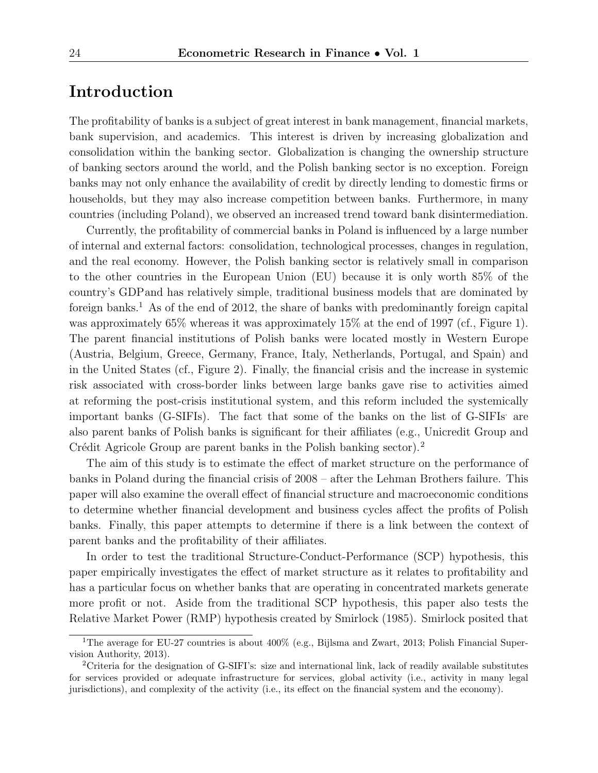### Introduction

The profitability of banks is a subject of great interest in bank management, financial markets, bank supervision, and academics. This interest is driven by increasing globalization and consolidation within the banking sector. Globalization is changing the ownership structure of banking sectors around the world, and the Polish banking sector is no exception. Foreign banks may not only enhance the availability of credit by directly lending to domestic firms or households, but they may also increase competition between banks. Furthermore, in many countries (including Poland), we observed an increased trend toward bank disintermediation.

Currently, the profitability of commercial banks in Poland is influenced by a large number of internal and external factors: consolidation, technological processes, changes in regulation, and the real economy. However, the Polish banking sector is relatively small in comparison to the other countries in the European Union (EU) because it is only worth 85% of the country's GDPand has relatively simple, traditional business models that are dominated by foreign banks.<sup>1</sup> As of the end of 2012, the share of banks with predominantly foreign capital was approximately 65% whereas it was approximately 15% at the end of 1997 (cf., Figure 1). The parent financial institutions of Polish banks were located mostly in Western Europe (Austria, Belgium, Greece, Germany, France, Italy, Netherlands, Portugal, and Spain) and in the United States (cf., Figure 2). Finally, the financial crisis and the increase in systemic risk associated with cross-border links between large banks gave rise to activities aimed at reforming the post-crisis institutional system, and this reform included the systemically important banks (G-SIFIs). The fact that some of the banks on the list of G-SIFIs are also parent banks of Polish banks is significant for their affiliates (e.g., Unicredit Group and Crédit Agricole Group are parent banks in the Polish banking sector).<sup>2</sup>

The aim of this study is to estimate the effect of market structure on the performance of banks in Poland during the financial crisis of 2008 – after the Lehman Brothers failure. This paper will also examine the overall effect of financial structure and macroeconomic conditions to determine whether financial development and business cycles affect the profits of Polish banks. Finally, this paper attempts to determine if there is a link between the context of parent banks and the profitability of their affiliates.

In order to test the traditional Structure-Conduct-Performance (SCP) hypothesis, this paper empirically investigates the effect of market structure as it relates to profitability and has a particular focus on whether banks that are operating in concentrated markets generate more profit or not. Aside from the traditional SCP hypothesis, this paper also tests the Relative Market Power (RMP) hypothesis created by Smirlock (1985). Smirlock posited that

<sup>&</sup>lt;sup>1</sup>The average for EU-27 countries is about 400% (e.g., Bijlsma and Zwart, 2013; Polish Financial Supervision Authority, 2013).

<sup>2</sup>Criteria for the designation of G-SIFI's: size and international link, lack of readily available substitutes for services provided or adequate infrastructure for services, global activity (i.e., activity in many legal jurisdictions), and complexity of the activity (i.e., its effect on the financial system and the economy).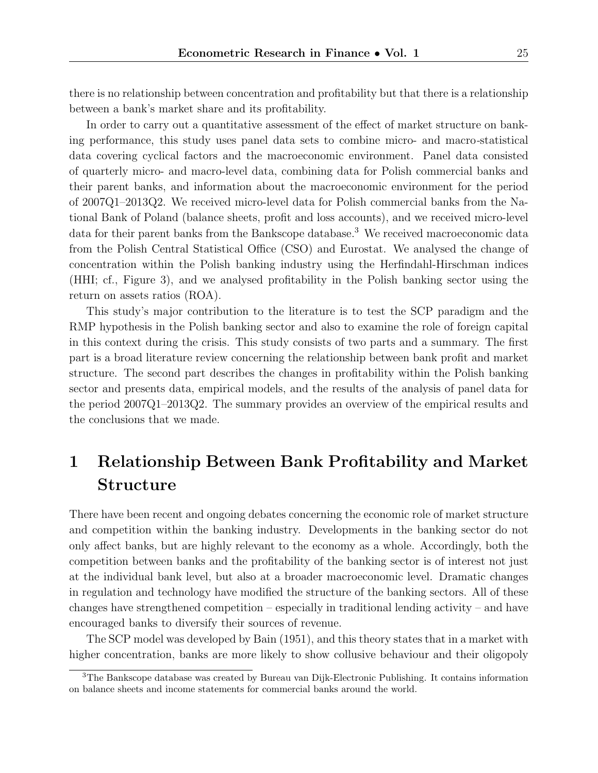there is no relationship between concentration and profitability but that there is a relationship between a bank's market share and its profitability.

In order to carry out a quantitative assessment of the effect of market structure on banking performance, this study uses panel data sets to combine micro- and macro-statistical data covering cyclical factors and the macroeconomic environment. Panel data consisted of quarterly micro- and macro-level data, combining data for Polish commercial banks and their parent banks, and information about the macroeconomic environment for the period of 2007Q1–2013Q2. We received micro-level data for Polish commercial banks from the National Bank of Poland (balance sheets, profit and loss accounts), and we received micro-level data for their parent banks from the Bankscope database.<sup>3</sup> We received macroeconomic data from the Polish Central Statistical Office (CSO) and Eurostat. We analysed the change of concentration within the Polish banking industry using the Herfindahl-Hirschman indices (HHI; cf., Figure 3), and we analysed profitability in the Polish banking sector using the return on assets ratios (ROA).

This study's major contribution to the literature is to test the SCP paradigm and the RMP hypothesis in the Polish banking sector and also to examine the role of foreign capital in this context during the crisis. This study consists of two parts and a summary. The first part is a broad literature review concerning the relationship between bank profit and market structure. The second part describes the changes in profitability within the Polish banking sector and presents data, empirical models, and the results of the analysis of panel data for the period 2007Q1–2013Q2. The summary provides an overview of the empirical results and the conclusions that we made.

## 1 Relationship Between Bank Profitability and Market Structure

There have been recent and ongoing debates concerning the economic role of market structure and competition within the banking industry. Developments in the banking sector do not only affect banks, but are highly relevant to the economy as a whole. Accordingly, both the competition between banks and the profitability of the banking sector is of interest not just at the individual bank level, but also at a broader macroeconomic level. Dramatic changes in regulation and technology have modified the structure of the banking sectors. All of these changes have strengthened competition – especially in traditional lending activity – and have encouraged banks to diversify their sources of revenue.

The SCP model was developed by Bain (1951), and this theory states that in a market with higher concentration, banks are more likely to show collusive behaviour and their oligopoly

<sup>3</sup>The Bankscope database was created by Bureau van Dijk-Electronic Publishing. It contains information on balance sheets and income statements for commercial banks around the world.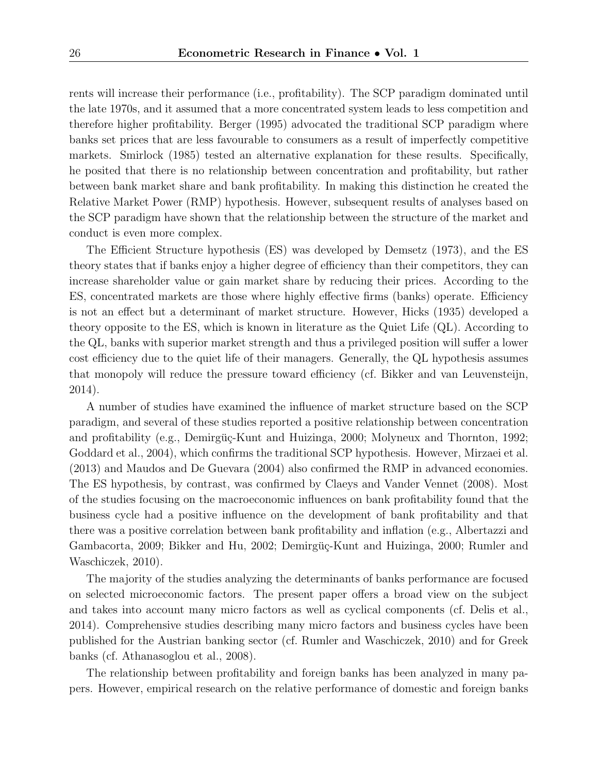rents will increase their performance (i.e., profitability). The SCP paradigm dominated until the late 1970s, and it assumed that a more concentrated system leads to less competition and therefore higher profitability. Berger (1995) advocated the traditional SCP paradigm where banks set prices that are less favourable to consumers as a result of imperfectly competitive markets. Smirlock (1985) tested an alternative explanation for these results. Specifically, he posited that there is no relationship between concentration and profitability, but rather between bank market share and bank profitability. In making this distinction he created the Relative Market Power (RMP) hypothesis. However, subsequent results of analyses based on the SCP paradigm have shown that the relationship between the structure of the market and conduct is even more complex.

The Efficient Structure hypothesis (ES) was developed by Demsetz (1973), and the ES theory states that if banks enjoy a higher degree of efficiency than their competitors, they can increase shareholder value or gain market share by reducing their prices. According to the ES, concentrated markets are those where highly effective firms (banks) operate. Efficiency is not an effect but a determinant of market structure. However, Hicks (1935) developed a theory opposite to the ES, which is known in literature as the Quiet Life (QL). According to the QL, banks with superior market strength and thus a privileged position will suffer a lower cost efficiency due to the quiet life of their managers. Generally, the QL hypothesis assumes that monopoly will reduce the pressure toward efficiency (cf. Bikker and van Leuvensteijn, 2014).

A number of studies have examined the influence of market structure based on the SCP paradigm, and several of these studies reported a positive relationship between concentration and profitability (e.g., Demirgüç-Kunt and Huizinga, 2000; Molyneux and Thornton, 1992; Goddard et al., 2004), which confirms the traditional SCP hypothesis. However, Mirzaei et al. (2013) and Maudos and De Guevara (2004) also confirmed the RMP in advanced economies. The ES hypothesis, by contrast, was confirmed by Claeys and Vander Vennet (2008). Most of the studies focusing on the macroeconomic influences on bank profitability found that the business cycle had a positive influence on the development of bank profitability and that there was a positive correlation between bank profitability and inflation (e.g., Albertazzi and Gambacorta, 2009; Bikker and Hu, 2002; Demirgüç-Kunt and Huizinga, 2000; Rumler and Waschiczek, 2010).

The majority of the studies analyzing the determinants of banks performance are focused on selected microeconomic factors. The present paper offers a broad view on the subject and takes into account many micro factors as well as cyclical components (cf. Delis et al., 2014). Comprehensive studies describing many micro factors and business cycles have been published for the Austrian banking sector (cf. Rumler and Waschiczek, 2010) and for Greek banks (cf. Athanasoglou et al., 2008).

The relationship between profitability and foreign banks has been analyzed in many papers. However, empirical research on the relative performance of domestic and foreign banks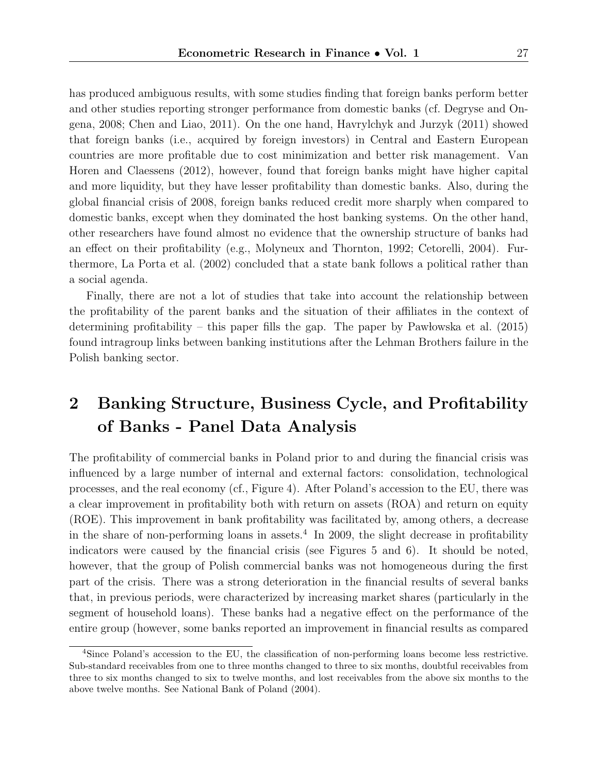has produced ambiguous results, with some studies finding that foreign banks perform better and other studies reporting stronger performance from domestic banks (cf. Degryse and Ongena, 2008; Chen and Liao, 2011). On the one hand, Havrylchyk and Jurzyk (2011) showed that foreign banks (i.e., acquired by foreign investors) in Central and Eastern European countries are more profitable due to cost minimization and better risk management. Van Horen and Claessens (2012), however, found that foreign banks might have higher capital and more liquidity, but they have lesser profitability than domestic banks. Also, during the global financial crisis of 2008, foreign banks reduced credit more sharply when compared to domestic banks, except when they dominated the host banking systems. On the other hand, other researchers have found almost no evidence that the ownership structure of banks had an effect on their profitability (e.g., Molyneux and Thornton, 1992; Cetorelli, 2004). Furthermore, La Porta et al. (2002) concluded that a state bank follows a political rather than a social agenda.

Finally, there are not a lot of studies that take into account the relationship between the profitability of the parent banks and the situation of their affiliates in the context of determining profitability – this paper fills the gap. The paper by Paw lowska et al.  $(2015)$ found intragroup links between banking institutions after the Lehman Brothers failure in the Polish banking sector.

## 2 Banking Structure, Business Cycle, and Profitability of Banks - Panel Data Analysis

The profitability of commercial banks in Poland prior to and during the financial crisis was influenced by a large number of internal and external factors: consolidation, technological processes, and the real economy (cf., Figure 4). After Poland's accession to the EU, there was a clear improvement in profitability both with return on assets (ROA) and return on equity (ROE). This improvement in bank profitability was facilitated by, among others, a decrease in the share of non-performing loans in assets.<sup>4</sup> In 2009, the slight decrease in profitability indicators were caused by the financial crisis (see Figures 5 and 6). It should be noted, however, that the group of Polish commercial banks was not homogeneous during the first part of the crisis. There was a strong deterioration in the financial results of several banks that, in previous periods, were characterized by increasing market shares (particularly in the segment of household loans). These banks had a negative effect on the performance of the entire group (however, some banks reported an improvement in financial results as compared

<sup>4</sup>Since Poland's accession to the EU, the classification of non-performing loans become less restrictive. Sub-standard receivables from one to three months changed to three to six months, doubtful receivables from three to six months changed to six to twelve months, and lost receivables from the above six months to the above twelve months. See National Bank of Poland (2004).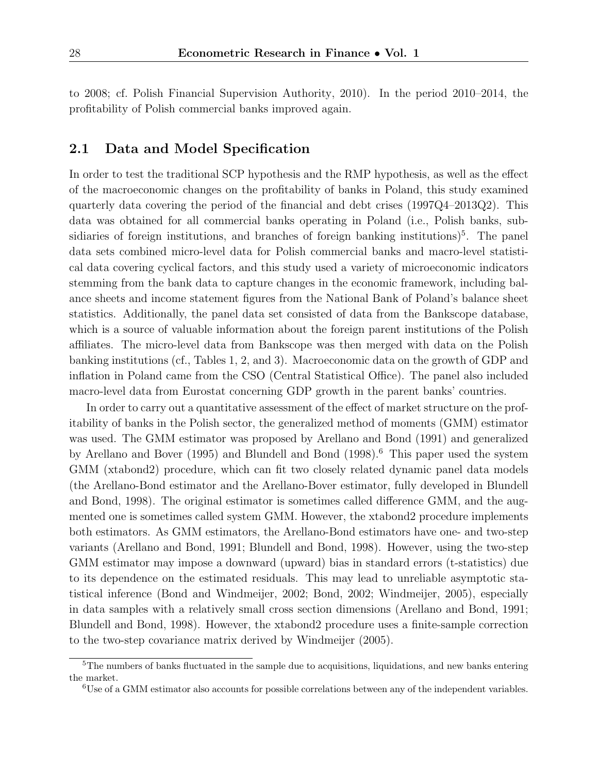to 2008; cf. Polish Financial Supervision Authority, 2010). In the period 2010–2014, the profitability of Polish commercial banks improved again.

#### 2.1 Data and Model Specification

In order to test the traditional SCP hypothesis and the RMP hypothesis, as well as the effect of the macroeconomic changes on the profitability of banks in Poland, this study examined quarterly data covering the period of the financial and debt crises (1997Q4–2013Q2). This data was obtained for all commercial banks operating in Poland (i.e., Polish banks, subsidiaries of foreign institutions, and branches of foreign banking institutions)<sup>5</sup>. The panel data sets combined micro-level data for Polish commercial banks and macro-level statistical data covering cyclical factors, and this study used a variety of microeconomic indicators stemming from the bank data to capture changes in the economic framework, including balance sheets and income statement figures from the National Bank of Poland's balance sheet statistics. Additionally, the panel data set consisted of data from the Bankscope database, which is a source of valuable information about the foreign parent institutions of the Polish affiliates. The micro-level data from Bankscope was then merged with data on the Polish banking institutions (cf., Tables 1, 2, and 3). Macroeconomic data on the growth of GDP and inflation in Poland came from the CSO (Central Statistical Office). The panel also included macro-level data from Eurostat concerning GDP growth in the parent banks' countries.

In order to carry out a quantitative assessment of the effect of market structure on the profitability of banks in the Polish sector, the generalized method of moments (GMM) estimator was used. The GMM estimator was proposed by Arellano and Bond (1991) and generalized by Arellano and Bover (1995) and Blundell and Bond (1998).<sup>6</sup> This paper used the system GMM (xtabond2) procedure, which can fit two closely related dynamic panel data models (the Arellano-Bond estimator and the Arellano-Bover estimator, fully developed in Blundell and Bond, 1998). The original estimator is sometimes called difference GMM, and the augmented one is sometimes called system GMM. However, the xtabond2 procedure implements both estimators. As GMM estimators, the Arellano-Bond estimators have one- and two-step variants (Arellano and Bond, 1991; Blundell and Bond, 1998). However, using the two-step GMM estimator may impose a downward (upward) bias in standard errors (t-statistics) due to its dependence on the estimated residuals. This may lead to unreliable asymptotic statistical inference (Bond and Windmeijer, 2002; Bond, 2002; Windmeijer, 2005), especially in data samples with a relatively small cross section dimensions (Arellano and Bond, 1991; Blundell and Bond, 1998). However, the xtabond2 procedure uses a finite-sample correction to the two-step covariance matrix derived by Windmeijer (2005).

<sup>&</sup>lt;sup>5</sup>The numbers of banks fluctuated in the sample due to acquisitions, liquidations, and new banks entering the market.

<sup>6</sup>Use of a GMM estimator also accounts for possible correlations between any of the independent variables.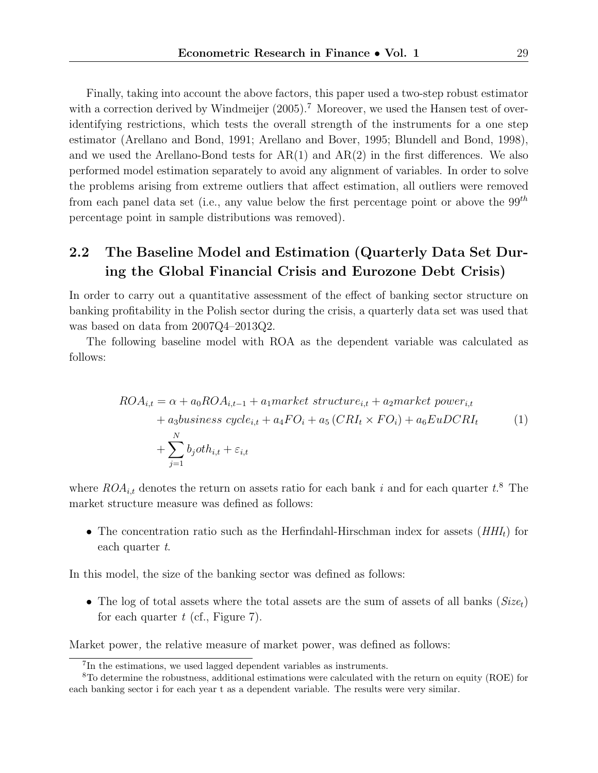Finally, taking into account the above factors, this paper used a two-step robust estimator with a correction derived by Windmeijer  $(2005)$ .<sup>7</sup> Moreover, we used the Hansen test of overidentifying restrictions, which tests the overall strength of the instruments for a one step estimator (Arellano and Bond, 1991; Arellano and Bover, 1995; Blundell and Bond, 1998), and we used the Arellano-Bond tests for  $AR(1)$  and  $AR(2)$  in the first differences. We also performed model estimation separately to avoid any alignment of variables. In order to solve the problems arising from extreme outliers that affect estimation, all outliers were removed from each panel data set (i.e., any value below the first percentage point or above the  $99<sup>th</sup>$ percentage point in sample distributions was removed).

### 2.2 The Baseline Model and Estimation (Quarterly Data Set During the Global Financial Crisis and Eurozone Debt Crisis)

In order to carry out a quantitative assessment of the effect of banking sector structure on banking profitability in the Polish sector during the crisis, a quarterly data set was used that was based on data from 2007Q4–2013Q2.

The following baseline model with ROA as the dependent variable was calculated as follows:

$$
ROA_{i,t} = \alpha + a_0 ROA_{i,t-1} + a_1 market \ structure_{i,t} + a_2 market \ power_{i,t} + a_3 business \ cycle_{i,t} + a_4 FO_i + a_5 (CRI_t \times FO_i) + a_6 EuDCRI_t + \sum_{j=1}^{N} b_joth_{i,t} + \varepsilon_{i,t}
$$
 (1)

where  $ROA_{i,t}$  denotes the return on assets ratio for each bank i and for each quarter  $t.^8$  The market structure measure was defined as follows:

• The concentration ratio such as the Herfindahl-Hirschman index for assets  $(HHI_t)$  for each quarter t.

In this model, the size of the banking sector was defined as follows:

• The log of total assets where the total assets are the sum of assets of all banks  $(Size_t)$ for each quarter  $t$  (cf., Figure 7).

Market power, the relative measure of market power, was defined as follows:

<sup>7</sup> In the estimations, we used lagged dependent variables as instruments.

<sup>8</sup>To determine the robustness, additional estimations were calculated with the return on equity (ROE) for each banking sector i for each year t as a dependent variable. The results were very similar.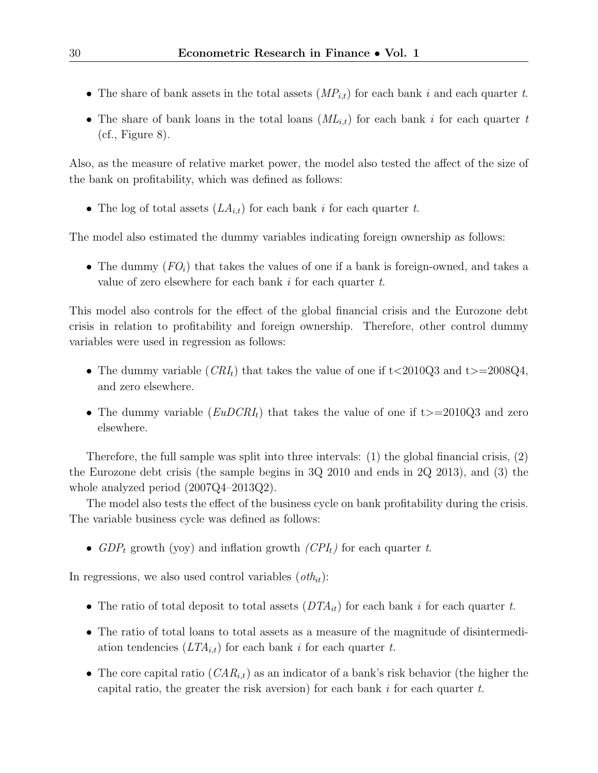- The share of bank assets in the total assets  $(MP_{i,t})$  for each bank i and each quarter t.
- The share of bank loans in the total loans  $(ML_{i,t})$  for each bank i for each quarter t  $(cf., Figure 8).$

Also, as the measure of relative market power, the model also tested the affect of the size of the bank on profitability, which was defined as follows:

• The log of total assets  $(LA_{i,t})$  for each bank i for each quarter t.

The model also estimated the dummy variables indicating foreign ownership as follows:

• The dummy  $(FO_i)$  that takes the values of one if a bank is foreign-owned, and takes a value of zero elsewhere for each bank i for each quarter t.

This model also controls for the effect of the global financial crisis and the Eurozone debt crisis in relation to profitability and foreign ownership. Therefore, other control dummy variables were used in regression as follows:

- The dummy variable  $(CRI_t)$  that takes the value of one if t $\langle 2010Q3 \rangle$  and t $\langle 2010Q3 \rangle$ . and zero elsewhere.
- The dummy variable  $(EuDCRI_t)$  that takes the value of one if t $>=$  2010Q3 and zero elsewhere.

Therefore, the full sample was split into three intervals: (1) the global financial crisis, (2) the Eurozone debt crisis (the sample begins in 3Q 2010 and ends in 2Q 2013), and (3) the whole analyzed period (2007Q4–2013Q2).

The model also tests the effect of the business cycle on bank profitability during the crisis. The variable business cycle was defined as follows:

•  $GDP_t$  growth (yoy) and inflation growth  $(CPI_t)$  for each quarter t.

In regressions, we also used control variables  $(\textit{oth}_{it})$ :

- The ratio of total deposit to total assets  $(DTA_{it})$  for each bank i for each quarter t.
- The ratio of total loans to total assets as a measure of the magnitude of disintermediation tendencies  $(LTA_{i,t})$  for each bank i for each quarter t.
- The core capital ratio  $(CAR_{i,t})$  as an indicator of a bank's risk behavior (the higher the capital ratio, the greater the risk aversion) for each bank  $i$  for each quarter  $t$ .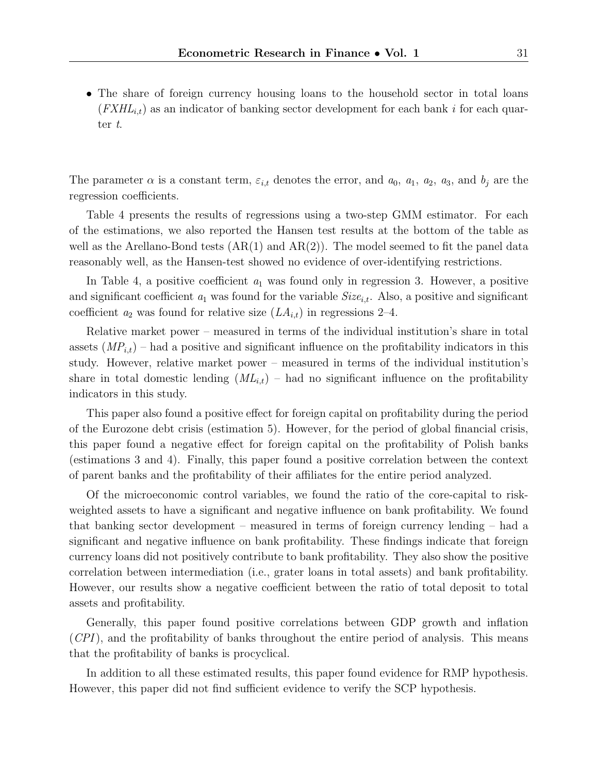• The share of foreign currency housing loans to the household sector in total loans  $(FXHL_{i,t})$  as an indicator of banking sector development for each bank i for each quarter t.

The parameter  $\alpha$  is a constant term,  $\varepsilon_{i,t}$  denotes the error, and  $a_0$ ,  $a_1$ ,  $a_2$ ,  $a_3$ , and  $b_j$  are the regression coefficients.

Table 4 presents the results of regressions using a two-step GMM estimator. For each of the estimations, we also reported the Hansen test results at the bottom of the table as well as the Arellano-Bond tests  $(AR(1)$  and  $AR(2))$ . The model seemed to fit the panel data reasonably well, as the Hansen-test showed no evidence of over-identifying restrictions.

In Table 4, a positive coefficient  $a_1$  was found only in regression 3. However, a positive and significant coefficient  $a_1$  was found for the variable  $Size_{i,t}$ . Also, a positive and significant coefficient  $a_2$  was found for relative size  $(LA_{i,t})$  in regressions 2–4.

Relative market power – measured in terms of the individual institution's share in total assets  $(MP_{i,t})$  – had a positive and significant influence on the profitability indicators in this study. However, relative market power – measured in terms of the individual institution's share in total domestic lending  $(ML_{i,t})$  – had no significant influence on the profitability indicators in this study.

This paper also found a positive effect for foreign capital on profitability during the period of the Eurozone debt crisis (estimation 5). However, for the period of global financial crisis, this paper found a negative effect for foreign capital on the profitability of Polish banks (estimations 3 and 4). Finally, this paper found a positive correlation between the context of parent banks and the profitability of their affiliates for the entire period analyzed.

Of the microeconomic control variables, we found the ratio of the core-capital to riskweighted assets to have a significant and negative influence on bank profitability. We found that banking sector development – measured in terms of foreign currency lending – had a significant and negative influence on bank profitability. These findings indicate that foreign currency loans did not positively contribute to bank profitability. They also show the positive correlation between intermediation (i.e., grater loans in total assets) and bank profitability. However, our results show a negative coefficient between the ratio of total deposit to total assets and profitability.

Generally, this paper found positive correlations between GDP growth and inflation (CPI), and the profitability of banks throughout the entire period of analysis. This means that the profitability of banks is procyclical.

In addition to all these estimated results, this paper found evidence for RMP hypothesis. However, this paper did not find sufficient evidence to verify the SCP hypothesis.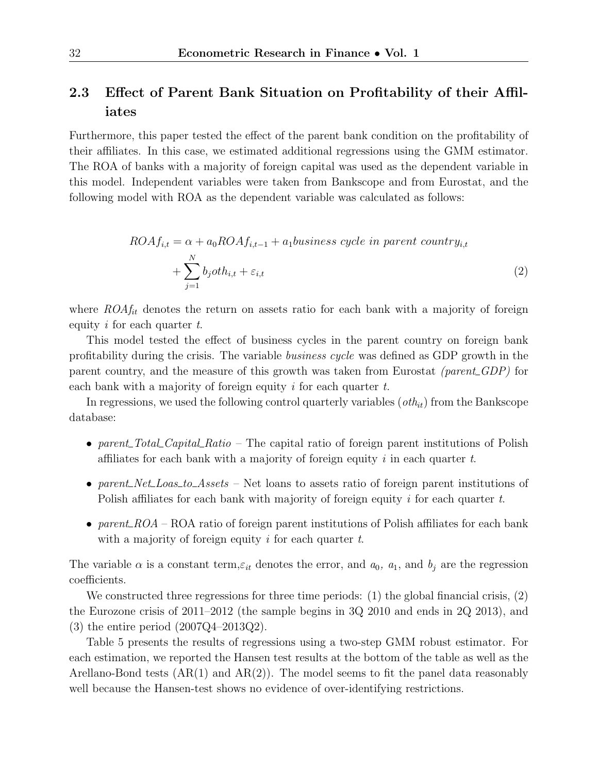#### 2.3 Effect of Parent Bank Situation on Profitability of their Affiliates

Furthermore, this paper tested the effect of the parent bank condition on the profitability of their affiliates. In this case, we estimated additional regressions using the GMM estimator. The ROA of banks with a majority of foreign capital was used as the dependent variable in this model. Independent variables were taken from Bankscope and from Eurostat, and the following model with ROA as the dependent variable was calculated as follows:

$$
ROAf_{i,t} = \alpha + a_0 ROAf_{i,t-1} + a_1 business \ cycle \ in \ parent \ country_{i,t}
$$

$$
+ \sum_{j=1}^{N} b_j oth_{i,t} + \varepsilon_{i,t}
$$
\n(2)

where  $ROA_{fit}^f$  denotes the return on assets ratio for each bank with a majority of foreign equity i for each quarter  $t$ .

This model tested the effect of business cycles in the parent country on foreign bank profitability during the crisis. The variable business cycle was defined as GDP growth in the parent country, and the measure of this growth was taken from Eurostat (parent  $GDP$ ) for each bank with a majority of foreign equity  $i$  for each quarter  $t$ .

In regressions, we used the following control quarterly variables  $(\textit{oth}_{it})$  from the Bankscope database:

- parent  $Total\_Capital\_Ratio$  The capital ratio of foreign parent institutions of Polish affiliates for each bank with a majority of foreign equity i in each quarter  $t$ .
- parent Net Loas to Assets Net loans to assets ratio of foreign parent institutions of Polish affiliates for each bank with majority of foreign equity i for each quarter t.
- parent ROA ROA ratio of foreign parent institutions of Polish affiliates for each bank with a majority of foreign equity  $i$  for each quarter  $t$ .

The variable  $\alpha$  is a constant term,  $\varepsilon_{it}$  denotes the error, and  $a_0$ ,  $a_1$ , and  $b_j$  are the regression coefficients.

We constructed three regressions for three time periods: (1) the global financial crisis, (2) the Eurozone crisis of 2011–2012 (the sample begins in 3Q 2010 and ends in 2Q 2013), and (3) the entire period (2007Q4–2013Q2).

Table 5 presents the results of regressions using a two-step GMM robust estimator. For each estimation, we reported the Hansen test results at the bottom of the table as well as the Arellano-Bond tests  $(AR(1)$  and  $AR(2))$ . The model seems to fit the panel data reasonably well because the Hansen-test shows no evidence of over-identifying restrictions.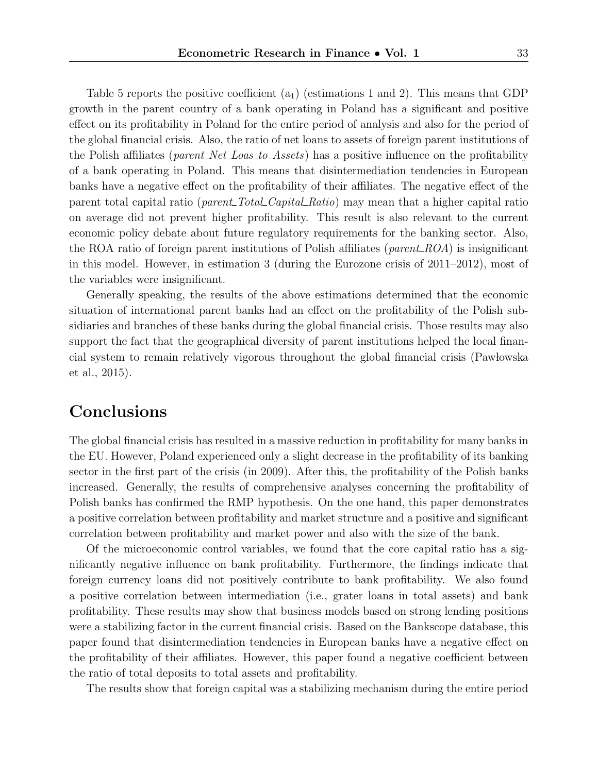Table 5 reports the positive coefficient  $(a_1)$  (estimations 1 and 2). This means that GDP growth in the parent country of a bank operating in Poland has a significant and positive effect on its profitability in Poland for the entire period of analysis and also for the period of the global financial crisis. Also, the ratio of net loans to assets of foreign parent institutions of the Polish affiliates (*parent\_Net\_Loas\_to\_Assets*) has a positive influence on the profitability of a bank operating in Poland. This means that disintermediation tendencies in European banks have a negative effect on the profitability of their affiliates. The negative effect of the parent total capital ratio (*parent\_Total\_Capital\_Ratio*) may mean that a higher capital ratio on average did not prevent higher profitability. This result is also relevant to the current economic policy debate about future regulatory requirements for the banking sector. Also, the ROA ratio of foreign parent institutions of Polish affiliates (*parent ROA*) is insignificant in this model. However, in estimation 3 (during the Eurozone crisis of 2011–2012), most of the variables were insignificant.

Generally speaking, the results of the above estimations determined that the economic situation of international parent banks had an effect on the profitability of the Polish subsidiaries and branches of these banks during the global financial crisis. Those results may also support the fact that the geographical diversity of parent institutions helped the local financial system to remain relatively vigorous throughout the global financial crisis (Pawlowska et al., 2015).

## **Conclusions**

The global financial crisis has resulted in a massive reduction in profitability for many banks in the EU. However, Poland experienced only a slight decrease in the profitability of its banking sector in the first part of the crisis (in 2009). After this, the profitability of the Polish banks increased. Generally, the results of comprehensive analyses concerning the profitability of Polish banks has confirmed the RMP hypothesis. On the one hand, this paper demonstrates a positive correlation between profitability and market structure and a positive and significant correlation between profitability and market power and also with the size of the bank.

Of the microeconomic control variables, we found that the core capital ratio has a significantly negative influence on bank profitability. Furthermore, the findings indicate that foreign currency loans did not positively contribute to bank profitability. We also found a positive correlation between intermediation (i.e., grater loans in total assets) and bank profitability. These results may show that business models based on strong lending positions were a stabilizing factor in the current financial crisis. Based on the Bankscope database, this paper found that disintermediation tendencies in European banks have a negative effect on the profitability of their affiliates. However, this paper found a negative coefficient between the ratio of total deposits to total assets and profitability.

The results show that foreign capital was a stabilizing mechanism during the entire period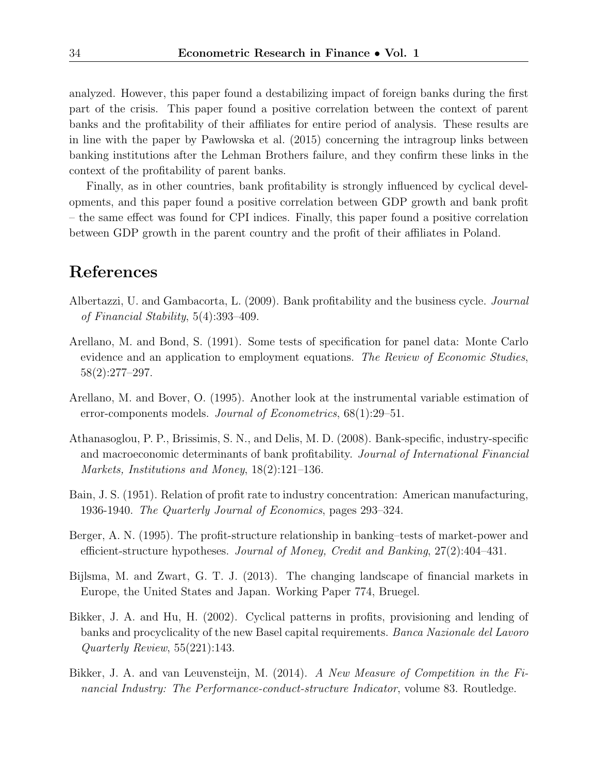analyzed. However, this paper found a destabilizing impact of foreign banks during the first part of the crisis. This paper found a positive correlation between the context of parent banks and the profitability of their affiliates for entire period of analysis. These results are in line with the paper by Pawlowska et al. (2015) concerning the intragroup links between banking institutions after the Lehman Brothers failure, and they confirm these links in the context of the profitability of parent banks.

Finally, as in other countries, bank profitability is strongly influenced by cyclical developments, and this paper found a positive correlation between GDP growth and bank profit – the same effect was found for CPI indices. Finally, this paper found a positive correlation between GDP growth in the parent country and the profit of their affiliates in Poland.

#### References

- Albertazzi, U. and Gambacorta, L. (2009). Bank profitability and the business cycle. Journal of Financial Stability, 5(4):393–409.
- Arellano, M. and Bond, S. (1991). Some tests of specification for panel data: Monte Carlo evidence and an application to employment equations. The Review of Economic Studies, 58(2):277–297.
- Arellano, M. and Bover, O. (1995). Another look at the instrumental variable estimation of error-components models. Journal of Econometrics,  $68(1):29-51$ .
- Athanasoglou, P. P., Brissimis, S. N., and Delis, M. D. (2008). Bank-specific, industry-specific and macroeconomic determinants of bank profitability. Journal of International Financial Markets, Institutions and Money, 18(2):121–136.
- Bain, J. S. (1951). Relation of profit rate to industry concentration: American manufacturing, 1936-1940. The Quarterly Journal of Economics, pages 293–324.
- Berger, A. N. (1995). The profit-structure relationship in banking–tests of market-power and efficient-structure hypotheses. Journal of Money, Credit and Banking, 27(2):404–431.
- Bijlsma, M. and Zwart, G. T. J. (2013). The changing landscape of financial markets in Europe, the United States and Japan. Working Paper 774, Bruegel.
- Bikker, J. A. and Hu, H. (2002). Cyclical patterns in profits, provisioning and lending of banks and procyclicality of the new Basel capital requirements. Banca Nazionale del Lavoro Quarterly Review, 55(221):143.
- Bikker, J. A. and van Leuvensteijn, M. (2014). A New Measure of Competition in the Financial Industry: The Performance-conduct-structure Indicator, volume 83. Routledge.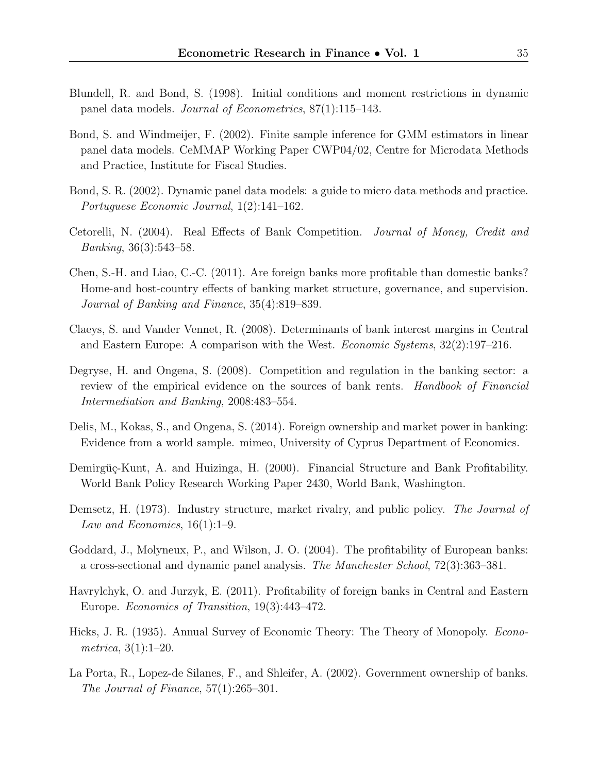- Blundell, R. and Bond, S. (1998). Initial conditions and moment restrictions in dynamic panel data models. Journal of Econometrics, 87(1):115–143.
- Bond, S. and Windmeijer, F. (2002). Finite sample inference for GMM estimators in linear panel data models. CeMMAP Working Paper CWP04/02, Centre for Microdata Methods and Practice, Institute for Fiscal Studies.
- Bond, S. R. (2002). Dynamic panel data models: a guide to micro data methods and practice. Portuguese Economic Journal, 1(2):141–162.
- Cetorelli, N. (2004). Real Effects of Bank Competition. Journal of Money, Credit and Banking, 36(3):543–58.
- Chen, S.-H. and Liao, C.-C. (2011). Are foreign banks more profitable than domestic banks? Home-and host-country effects of banking market structure, governance, and supervision. Journal of Banking and Finance, 35(4):819–839.
- Claeys, S. and Vander Vennet, R. (2008). Determinants of bank interest margins in Central and Eastern Europe: A comparison with the West. Economic Systems, 32(2):197–216.
- Degryse, H. and Ongena, S. (2008). Competition and regulation in the banking sector: a review of the empirical evidence on the sources of bank rents. Handbook of Financial Intermediation and Banking, 2008:483–554.
- Delis, M., Kokas, S., and Ongena, S. (2014). Foreign ownership and market power in banking: Evidence from a world sample. mimeo, University of Cyprus Department of Economics.
- Demirgüç-Kunt, A. and Huizinga, H. (2000). Financial Structure and Bank Profitability. World Bank Policy Research Working Paper 2430, World Bank, Washington.
- Demsetz, H. (1973). Industry structure, market rivalry, and public policy. The Journal of Law and Economics,  $16(1):1-9$ .
- Goddard, J., Molyneux, P., and Wilson, J. O. (2004). The profitability of European banks: a cross-sectional and dynamic panel analysis. The Manchester School, 72(3):363–381.
- Havrylchyk, O. and Jurzyk, E. (2011). Profitability of foreign banks in Central and Eastern Europe. Economics of Transition, 19(3):443–472.
- Hicks, J. R. (1935). Annual Survey of Economic Theory: The Theory of Monopoly. Econometrica, 3(1):1–20.
- La Porta, R., Lopez-de Silanes, F., and Shleifer, A. (2002). Government ownership of banks. The Journal of Finance, 57(1):265–301.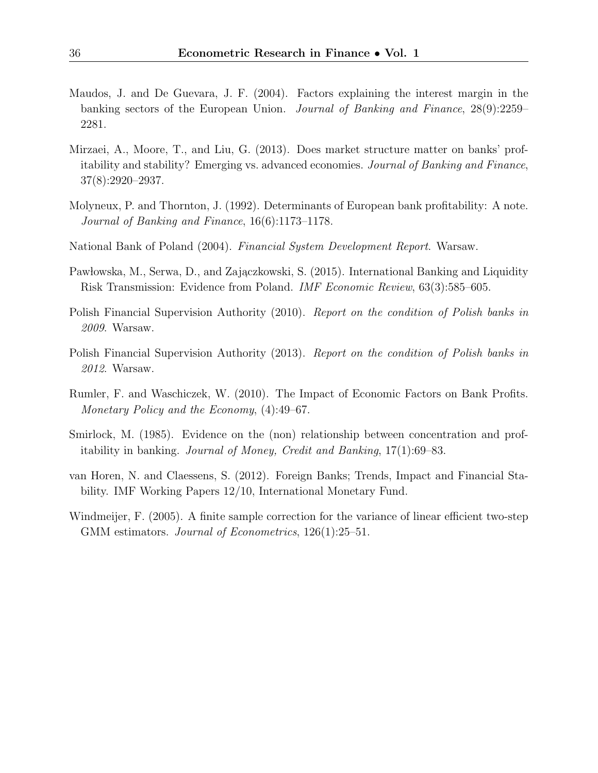- Maudos, J. and De Guevara, J. F. (2004). Factors explaining the interest margin in the banking sectors of the European Union. Journal of Banking and Finance, 28(9):2259– 2281.
- Mirzaei, A., Moore, T., and Liu, G. (2013). Does market structure matter on banks' profitability and stability? Emerging vs. advanced economies. Journal of Banking and Finance, 37(8):2920–2937.
- Molyneux, P. and Thornton, J. (1992). Determinants of European bank profitability: A note. Journal of Banking and Finance, 16(6):1173–1178.
- National Bank of Poland (2004). Financial System Development Report. Warsaw.
- Pawłowska, M., Serwa, D., and Zajączkowski, S. (2015). International Banking and Liquidity Risk Transmission: Evidence from Poland. IMF Economic Review, 63(3):585–605.
- Polish Financial Supervision Authority (2010). Report on the condition of Polish banks in 2009. Warsaw.
- Polish Financial Supervision Authority (2013). Report on the condition of Polish banks in 2012. Warsaw.
- Rumler, F. and Waschiczek, W. (2010). The Impact of Economic Factors on Bank Profits. Monetary Policy and the Economy, (4):49–67.
- Smirlock, M. (1985). Evidence on the (non) relationship between concentration and profitability in banking. Journal of Money, Credit and Banking, 17(1):69–83.
- van Horen, N. and Claessens, S. (2012). Foreign Banks; Trends, Impact and Financial Stability. IMF Working Papers 12/10, International Monetary Fund.
- Windmeijer, F. (2005). A finite sample correction for the variance of linear efficient two-step GMM estimators. *Journal of Econometrics*, 126(1):25–51.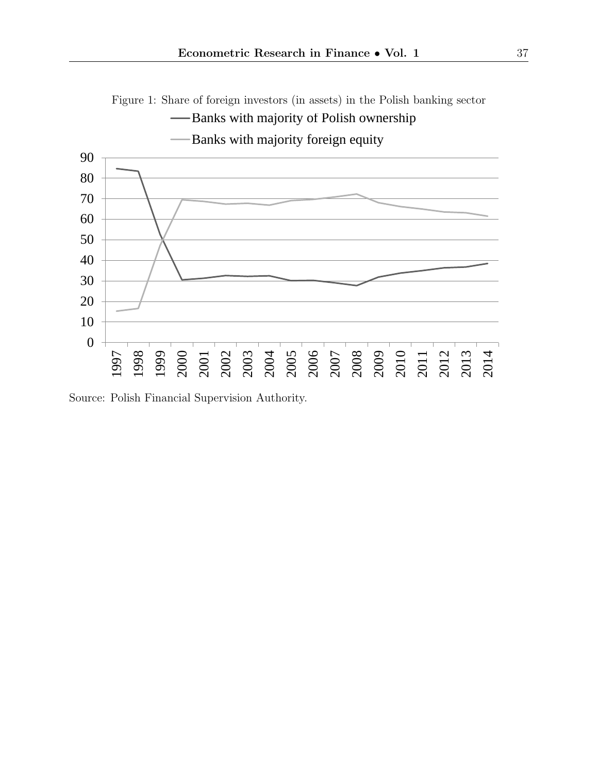

Source: Polish Financial Supervision Authority.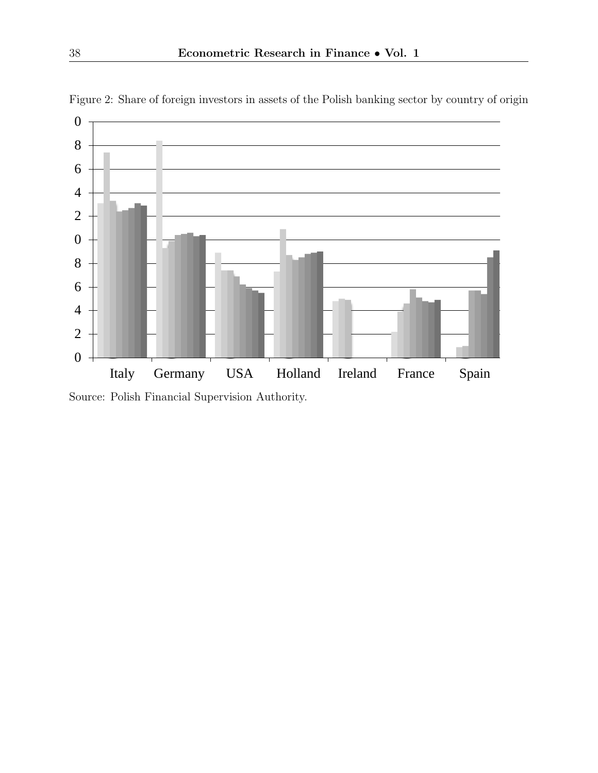

Figure 2: Share of foreign investors in assets of the Polish banking sector by country of origin

Source: Polish Financial Supervision Authority.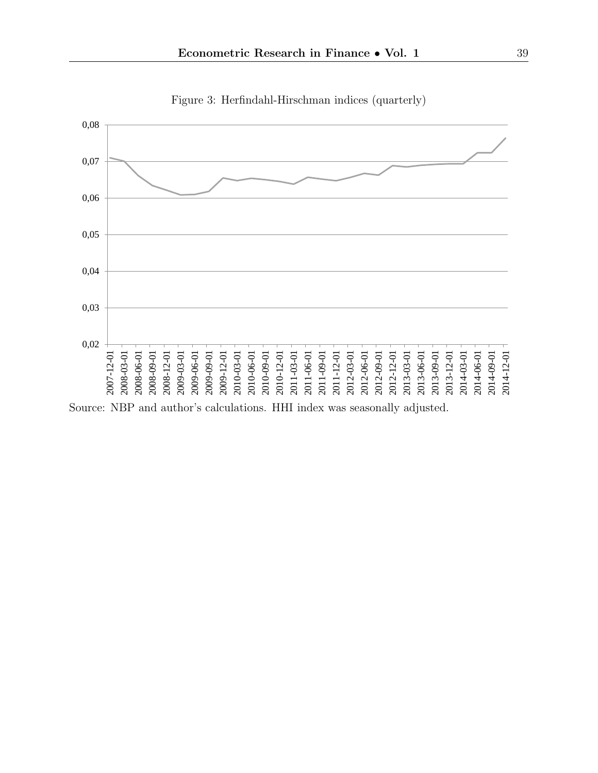

Figure 3: Herfindahl-Hirschman indices (quarterly)

Source: NBP and author's calculations. HHI index was seasonally adjusted.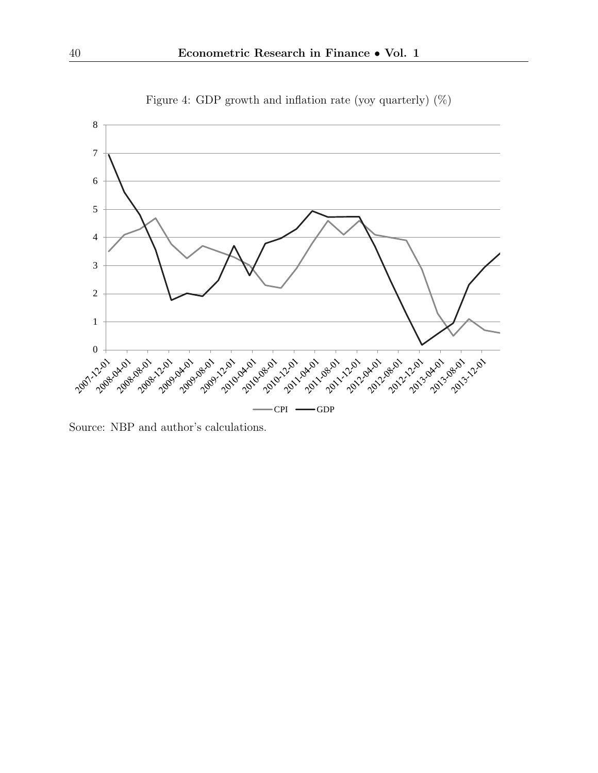

Figure 4: GDP growth and inflation rate (yoy quarterly) (%)

Source: NBP and author's calculations.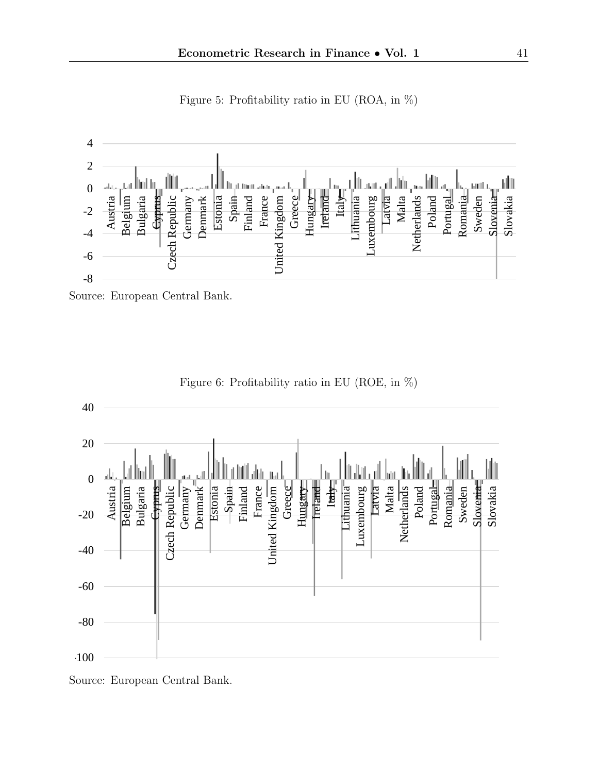

Figure 5: Profitability ratio in EU (ROA, in %)





Figure 6: Profitability ratio in EU (ROE, in %)

Source: European Central Bank.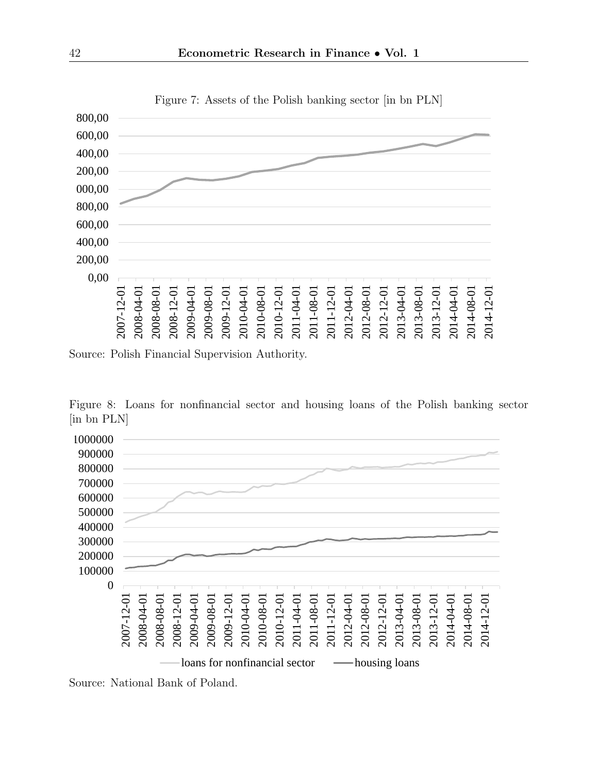

Figure 7: Assets of the Polish banking sector [in bn PLN]

Source: Polish Financial Supervision Authority.

Figure 8: Loans for nonfinancial sector and housing loans of the Polish banking sector [in bn PLN]



Source: National Bank of Poland.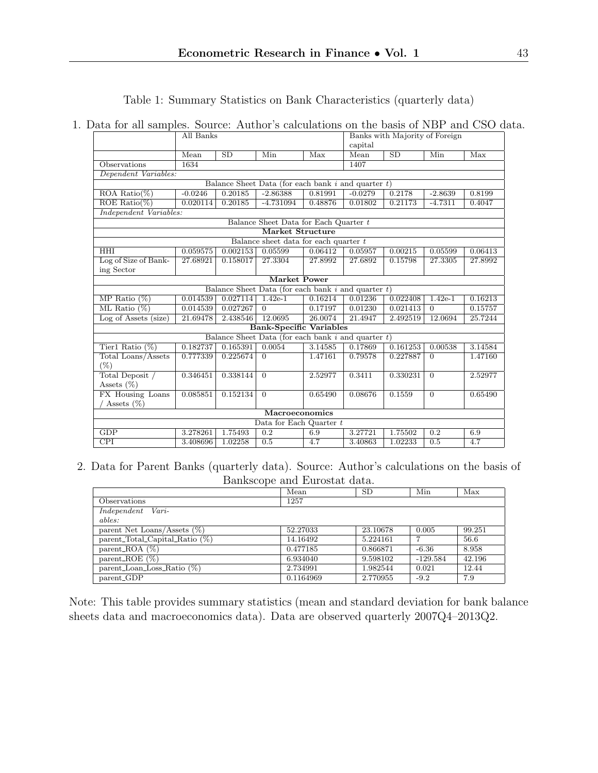Table 1: Summary Statistics on Bank Characteristics (quarterly data)

#### 1. Data for all samples. Source: Author's calculations on the basis of NBP and CSO data.

|                                | All Banks |          |                                                         | Banks with Majority of Foreign |           |          |           |         |
|--------------------------------|-----------|----------|---------------------------------------------------------|--------------------------------|-----------|----------|-----------|---------|
|                                |           |          |                                                         | capital                        |           |          |           |         |
|                                | Mean      | SD       | Min                                                     | Max                            | Mean      | SD       | Min       | Max     |
| Observations                   | 1634      |          |                                                         |                                | 1407      |          |           |         |
| Dependent Variables:           |           |          |                                                         |                                |           |          |           |         |
|                                |           |          | Balance Sheet Data (for each bank $i$ and quarter $t$ ) |                                |           |          |           |         |
| ROA Ratio $(\%)$               | $-0.0246$ | 0.20185  | $-2.86388$                                              | 0.81991                        | $-0.0279$ | 0.2178   | $-2.8639$ | 0.8199  |
| ROE Ratio(%)                   | 0.020114  | 0.20185  | $-4.731094$                                             | 0.48876                        | 0.01802   | 0.21173  | $-4.7311$ | 0.4047  |
| Independent Variables:         |           |          |                                                         |                                |           |          |           |         |
|                                |           |          | Balance Sheet Data for Each Quarter t                   |                                |           |          |           |         |
|                                |           |          | <b>Market Structure</b>                                 |                                |           |          |           |         |
|                                |           |          | Balance sheet data for each quarter $t$                 |                                |           |          |           |         |
| <b>HHI</b>                     | 0.059575  | 0.002153 | 0.05599                                                 | 0.06412                        | 0.05957   | 0.00215  | 0.05599   | 0.06413 |
| Log of Size of Bank-           | 27.68921  | 0.158017 | 27.3304                                                 | 27.8992                        | 27.6892   | 0.15798  | 27.3305   | 27.8992 |
| ing Sector                     |           |          |                                                         |                                |           |          |           |         |
| Market Power                   |           |          |                                                         |                                |           |          |           |         |
|                                |           |          | Balance Sheet Data (for each bank $i$ and quarter $t$ ) |                                |           |          |           |         |
| MP Ratio $(\%)$                | 0.014539  | 0.027114 | $1.42e-1$                                               | 0.16214                        | 0.01236   | 0.022408 | $1.42e-1$ | 0.16213 |
| ML Ratio $(\%)$                | 0.014539  | 0.027267 | $\Omega$                                                | 0.17197                        | 0.01230   | 0.021413 | $\Omega$  | 0.15757 |
| Log of Assets (size)           | 21.69478  | 2.438546 | 12.0695                                                 | 26.0074                        | 21.4947   | 2.492519 | 12.0694   | 25.7244 |
| <b>Bank-Specific Variables</b> |           |          |                                                         |                                |           |          |           |         |
|                                |           |          | Balance Sheet Data (for each bank $i$ and quarter $t$ ) |                                |           |          |           |         |
| Tier1 Ratio $(\%)$             | 0.182737  | 0.165391 | 0.0054                                                  | 3.14585                        | 0.17869   | 0.161253 | 0.00538   | 3.14584 |
| Total Loans/Assets             | 0.777339  | 0.225674 | $\Omega$                                                | 1.47161                        | 0.79578   | 0.227887 | $\Omega$  | 1.47160 |
| $(\%)$                         |           |          |                                                         |                                |           |          |           |         |
| Total Deposit /                | 0.346451  | 0.338144 | $\Omega$                                                | 2.52977                        | 0.3411    | 0.330231 | $\Omega$  | 2.52977 |
| Assets $(\%)$                  |           |          |                                                         |                                |           |          |           |         |
| FX Housing Loans               | 0.085851  | 0.152134 | $\Omega$                                                | 0.65490                        | 0.08676   | 0.1559   | $\Omega$  | 0.65490 |
| / Assets $(\%)$                |           |          |                                                         |                                |           |          |           |         |
| Macroeconomics                 |           |          |                                                         |                                |           |          |           |         |
| Data for Each Quarter t        |           |          |                                                         |                                |           |          |           |         |
| <b>GDP</b>                     | 3.278261  | 1.75493  | 0.2                                                     | 6.9                            | 3.27721   | 1.75502  | 0.2       | 6.9     |
| $\overline{CPI}$               | 3.408696  | 1.02258  | 0.5                                                     | 4.7                            | 3.40863   | 1.02233  | 0.5       | 4.7     |

2. Data for Parent Banks (quarterly data). Source: Author's calculations on the basis of Bankscope and Eurostat data.

|                                   | Mean      | <b>SD</b> | Min        | Max    |
|-----------------------------------|-----------|-----------|------------|--------|
| Observations                      | 1257      |           |            |        |
| Independent Vari-                 |           |           |            |        |
| ables:                            |           |           |            |        |
| parent Net Loans/Assets $(\%)$    | 52.27033  | 23.10678  | 0.005      | 99.251 |
| parent_Total_Capital_Ratio $(\%)$ | 14.16492  | 5.224161  | ⇁          | 56.6   |
| parent_ROA $(\%)$                 | 0.477185  | 0.866871  | $-6.36$    | 8.958  |
| parent_ROE $(\%)$                 | 6.934040  | 9.598102  | $-129.584$ | 42.196 |
| parent_Loan_Loss_Ratio $(\%)$     | 2.734991  | 1.982544  | 0.021      | 12.44  |
| parent_GDP                        | 0.1164969 | 2.770955  | $-9.2$     | 7.9    |

Note: This table provides summary statistics (mean and standard deviation for bank balance sheets data and macroeconomics data). Data are observed quarterly 2007Q4–2013Q2.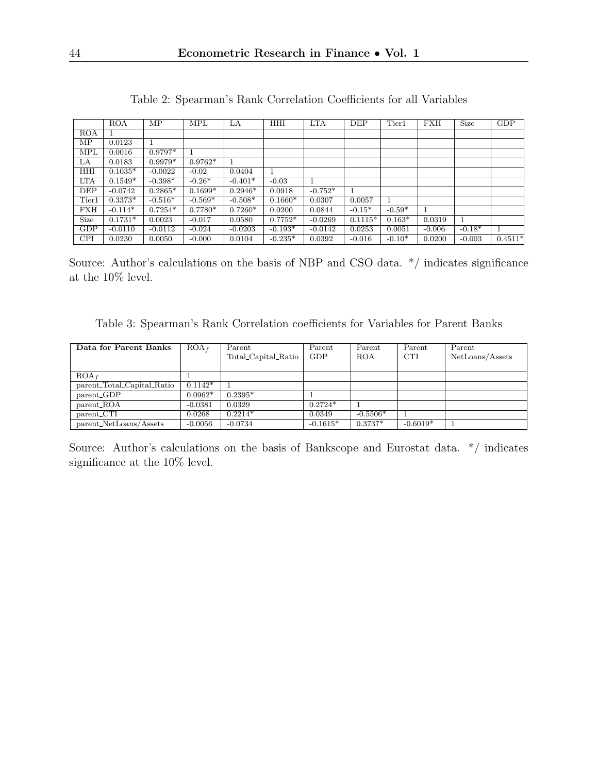|            | <b>ROA</b> | MP        | <b>MPL</b> | LA        | <b>HHI</b> | <b>LTA</b> | DEF       | Tier1    | <b>FXH</b> | Size     | GDP       |
|------------|------------|-----------|------------|-----------|------------|------------|-----------|----------|------------|----------|-----------|
| <b>ROA</b> |            |           |            |           |            |            |           |          |            |          |           |
| МP         | 0.0123     |           |            |           |            |            |           |          |            |          |           |
| <b>MPL</b> | 0.0016     | $0.9797*$ |            |           |            |            |           |          |            |          |           |
| LA         | 0.0183     | $0.9979*$ | $0.9762*$  |           |            |            |           |          |            |          |           |
| HHI        | $0.1035*$  | $-0.0022$ | $-0.02$    | 0.0404    |            |            |           |          |            |          |           |
| <b>LTA</b> | $0.1549*$  | $-0.398*$ | $-0.26*$   | $-0.401*$ | $-0.03$    |            |           |          |            |          |           |
| DEP        | $-0.0742$  | $0.2865*$ | $0.1699*$  | $0.2946*$ | 0.0918     | $-0.752*$  | 1         |          |            |          |           |
| Tier1      | $0.3373*$  | $-0.516*$ | $-0.569*$  | $-0.508*$ | $0.1660*$  | 0.0307     | 0.0057    |          |            |          |           |
| <b>FXH</b> | $-0.114*$  | $0.7254*$ | $0.7780*$  | $0.7260*$ | 0.0200     | 0.0844     | $-0.15*$  | $-0.59*$ |            |          |           |
| Size       | $0.1731*$  | 0.0023    | $-0.017$   | 0.0580    | $0.7752*$  | $-0.0269$  | $0.1115*$ | $0.163*$ | 0.0319     |          |           |
| GDP        | $-0.0110$  | $-0.0112$ | $-0.024$   | $-0.0203$ | $-0.193*$  | $-0.0142$  | 0.0253    | 0.0051   | $-0.006$   | $-0.18*$ |           |
| <b>CPI</b> | 0.0230     | 0.0050    | $-0.000$   | 0.0104    | $-0.235*$  | 0.0392     | $-0.016$  | $-0.10*$ | 0.0200     | $-0.003$ | $0.4511*$ |

Table 2: Spearman's Rank Correlation Coefficients for all Variables

Source: Author's calculations on the basis of NBP and CSO data.  $*/$  indicates significance at the 10% level.

Table 3: Spearman's Rank Correlation coefficients for Variables for Parent Banks

| Data for Parent Banks      | $ROA_f$   | Parent              | Parent     | Parent     | Parent     | Parent          |
|----------------------------|-----------|---------------------|------------|------------|------------|-----------------|
|                            |           | Total_Capital_Ratio | GDP        | <b>ROA</b> | <b>CTI</b> | NetLoans/Assets |
|                            |           |                     |            |            |            |                 |
| $ROA_f$                    |           |                     |            |            |            |                 |
| parent_Total_Capital_Ratio | $0.1142*$ |                     |            |            |            |                 |
| parent_GDP                 | $0.0962*$ | $0.2395*$           |            |            |            |                 |
| parent_ROA                 | $-0.0381$ | 0.0329              | $0.2724*$  |            |            |                 |
| parent_CTI                 | 0.0268    | $0.2214*$           | 0.0349     | $-0.5506*$ |            |                 |
| parent_NetLoans/Assets     | $-0.0056$ | $-0.0734$           | $-0.1615*$ | $0.3737*$  | $-0.6019*$ |                 |

Source: Author's calculations on the basis of Bankscope and Eurostat data.  $*/$  indicates significance at the 10% level.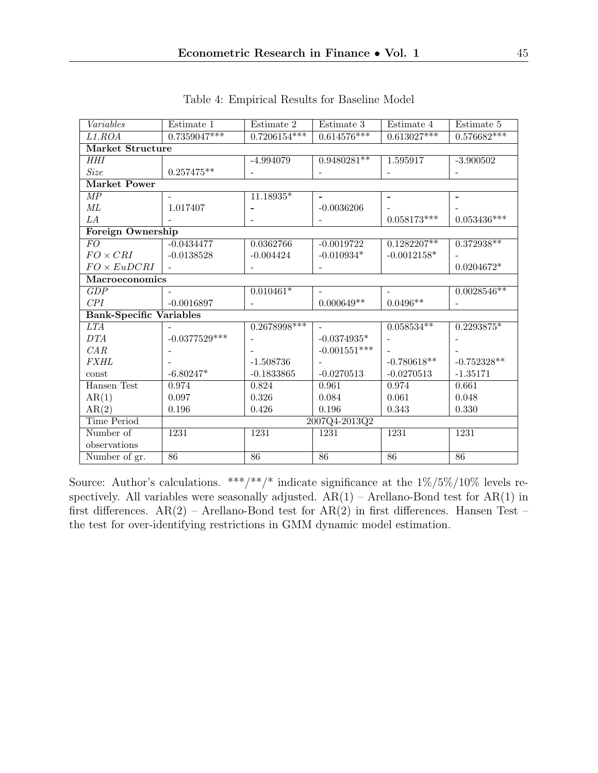| Variables                      | Estimate 1            | Estimate 2               | Estimate 3     | Estimate 4               | Estimate 5                |  |  |  |
|--------------------------------|-----------------------|--------------------------|----------------|--------------------------|---------------------------|--|--|--|
| L1.ROA                         | $0.7359047***$        | $0.7206154***$           | $0.614576***$  | $0.613027***$            | $0.576682***$             |  |  |  |
| Market Structure               |                       |                          |                |                          |                           |  |  |  |
| <b>HHI</b>                     |                       | $-4.994079$              | $0.9480281**$  | 1.595917                 | $-3.900502$               |  |  |  |
| <b>Size</b>                    | $0.257475^{\ast\ast}$ |                          |                |                          |                           |  |  |  |
| <b>Market Power</b>            |                       |                          |                |                          |                           |  |  |  |
| $\overline{MP}$                |                       | $11.18935*$              |                | $\overline{\phantom{a}}$ |                           |  |  |  |
| $\it ML$                       | 1.017407              |                          | $-0.0036206$   |                          |                           |  |  |  |
| LA                             |                       | $\overline{\phantom{0}}$ |                | $0.058173^{***}\,$       | $0.053436^{\ast\ast\ast}$ |  |  |  |
| Foreign Ownership              |                       |                          |                |                          |                           |  |  |  |
| $\overline{FO}$                | $-0.0434477$          | 0.0362766                | $-0.0019722$   | $0.1282207**$            | $0.372938**$              |  |  |  |
| $FO \times CRI$                | $-0.0138528$          | $-0.004424$              | $-0.010934*$   | $-0.0012158*$            |                           |  |  |  |
| $FO \times EuDCRI$             |                       |                          |                |                          | $0.0204672*$              |  |  |  |
|                                | Macroeconomics        |                          |                |                          |                           |  |  |  |
| GDP                            |                       | $0.010461*$              |                |                          | $0.0028546**$             |  |  |  |
| CPI                            | $-0.0016897$          |                          | $0.000649**$   | $0.0496**$               |                           |  |  |  |
| <b>Bank-Specific Variables</b> |                       |                          |                |                          |                           |  |  |  |
| <i>LTA</i>                     |                       | $0.2678998***$           |                | $0.058534**$             | 0.2293875*                |  |  |  |
| DTA                            | $-0.0377529***$       |                          | $-0.0374935*$  |                          |                           |  |  |  |
| CAR                            |                       |                          | $-0.001551***$ |                          |                           |  |  |  |
| <b>FXHL</b>                    |                       | $-1.508736$              |                | $-0.780618**$            | $-0.752328**$             |  |  |  |
| const                          | $-6.80247*$           | $-0.1833865$             | $-0.0270513$   | $-0.0270513$             | $-1.35171$                |  |  |  |
| Hansen Test                    | 0.974                 | 0.824                    | 0.961          | 0.974                    | 0.661                     |  |  |  |
| AR(1)                          | 0.097                 | 0.326                    | 0.084          | 0.061                    | 0.048                     |  |  |  |
| AR(2)                          | 0.196                 | 0.426                    | 0.196          | 0.343                    | 0.330                     |  |  |  |
| <b>Time Period</b>             | 2007Q4-2013Q2         |                          |                |                          |                           |  |  |  |
| Number of                      | 1231                  | 1231                     | 1231           | 1231                     | 1231                      |  |  |  |
| observations                   |                       |                          |                |                          |                           |  |  |  |
| Number of gr.                  | 86                    | 86                       | 86             | 86                       | 86                        |  |  |  |

Table 4: Empirical Results for Baseline Model

Source: Author's calculations. \*\*\*/\*\*/\* indicate significance at the  $1\%/5\%/10\%$  levels respectively. All variables were seasonally adjusted.  $AR(1)$  – Arellano-Bond test for  $AR(1)$  in first differences.  $AR(2)$  – Arellano-Bond test for  $AR(2)$  in first differences. Hansen Test – the test for over-identifying restrictions in GMM dynamic model estimation.